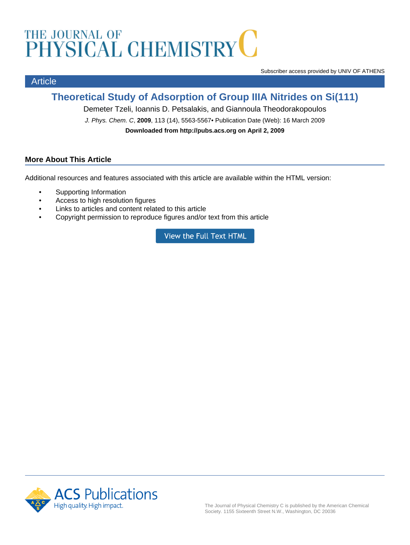# THE JOURNAL OF<br>PHYSICAL CHEMISTRY THE JOURNAL OF

**Article** 

Subscriber access provided by UNIV OF ATHENS

# **Theoretical Study of Adsorption of Group IIIA Nitrides on Si(111)**

Demeter Tzeli, Ioannis D. Petsalakis, and Giannoula Theodorakopoulos J. Phys. Chem. C, **2009**, 113 (14), 5563-5567• Publication Date (Web): 16 March 2009 **Downloaded from http://pubs.acs.org on April 2, 2009**

# **More About This Article**

Additional resources and features associated with this article are available within the HTML version:

- Supporting Information
- Access to high resolution figures
- Links to articles and content related to this article
- Copyright permission to reproduce figures and/or text from this article

View the Full Text HTML

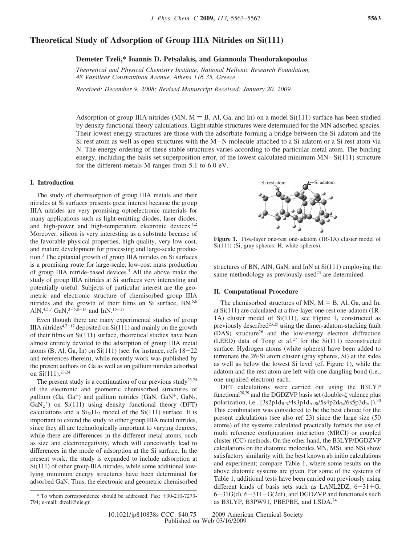## **Theoretical Study of Adsorption of Group IIIA Nitrides on Si(111)**

### **Demeter Tzeli,\* Ioannis D. Petsalakis, and Giannoula Theodorakopoulos**

*Theoretical and Physical Chemistry Institute, National Hellenic Research Foundation, 48 Vassileos Constantinou A*V*enue, Athens 116 35, Greece*

*Recei*V*ed: December 9, 2008; Re*V*ised Manuscript Recei*V*ed: January 20, 2009*

Adsorption of group IIIA nitrides (MN,  $M = B$ , Al, Ga, and In) on a model Si(111) surface has been studied by density functional theory calculations. Eight stable structures were determined for the MN adsorbed species. Their lowest energy structures are those with the adsorbate forming a bridge between the Si adatom and the Si rest atom as well as open structures with the  $M-N$  molecule attached to a Si adatom or a Si rest atom via N. The energy ordering of these stable structures varies according to the particular metal atom. The binding energy, including the basis set superposition error, of the lowest calculated minimum  $MN-Si(111)$  structure for the different metals M ranges from 5.1 to 6.0 eV.

#### **I. Introduction**

The study of chemisorption of group IIIA metals and their nitrides at Si surfaces presents great interest because the group IIIΑ nitrides are very promising optoelectronic materials for many applications such as light-emitting diodes, laser diodes, and high-power and high-temperature electronic devices. $1,2$ Moreover, silicon is very interesting as a substrate because of the favorable physical properties, high quality, very low cost, and mature development for processing and large-scale production.3 The epitaxial growth of group IIIA nitrides on Si surfaces is a promising route for large-scale, low-cost mass production of group IIIA nitride-based devices.<sup>4</sup> All the above make the study of group IIIA nitrides at Si surfaces very interesting and potentially useful. Subjects of particular interest are the geometric and electronic structure of chemisorbed group IIIA nitrides and the growth of their films on Si surface, BN,<sup>5,6</sup> AlN,<sup>4,5,7</sup> GaN,<sup>3-5,8-14</sup> and InN.<sup>15-17</sup>

Even though there are many experimental studies of group IIIA nitrides<sup>4,7-17</sup> deposited on  $Si(111)$  and mainly on the growth of their films on Si(111) surface, theoretical studies have been almost entirely devoted to the adsorption of group IIIA metal atoms (B, Al, Ga, In) on  $Si(111)$  (see, for instance, refs  $18-22$ and references therein), while recently work was published by the present authors on Ga as well as on gallium nitrides adsorbed on Si(111).<sup>23,24</sup>

The present study is a continuation of our previous study<sup>23,24</sup> of the electronic and geometric chemisorbed structures of gallium (Ga, Ga<sup>+</sup>) and gallium nitrides (GaN, GaN<sup>+</sup>, GaN<sub>2</sub>,  $\text{GaN}_2^+$ ) on Si(111) using density functional theory (DFT) calculations and a  $Si<sub>26</sub>H<sub>22</sub>$  model of the Si(111) surface. It is important to extend the study to other group IIIA metal nitrides, since they all are technologically important to varying degrees, while there are differences in the different metal atoms, such as size and electronegativity, which will conceivably lead to differences in the mode of adsorption at the Si surface. In the present work, the study is expanded to include adsorption at Si(111) of other group IIIA nitrides, while some additional lowlying minimum energy structures have been determined for adsorbed GaN. Thus, the electronic and geometric chemisorbed



**Figure 1.** Five-layer one-rest one-adatom (1R-1A) cluster model of Si(111) (Si, gray spheres; H, white spheres).

structures of BN, AlN, GaN, and InN at Si(111) employing the same methodology as previously used<sup>23</sup> are determined.

#### **II. Computational Procedure**

The chemisorbed structures of MN,  $M = B$ , Al, Ga, and In, at Si(111) are calculated at a five-layer one-rest one-adatom (1R-1A) cluster model of Si(111), see Figure 1, constructed as previously described<sup>23,25</sup> using the dimer-adatom-stacking fault  $(DAS)$  structure<sup>26</sup> and the low-energy electron diffraction (LEED) data of Tong et al.<sup>27</sup> for the  $Si(111)$  reconstructed surface. Hydrogen atoms (white spheres) have been added to terminate the 26-Si atom cluster (gray spheres, Si) at the sides as well as below the lowest Si level (cf. Figure 1), while the adatom and the rest atom are left with one dangling bond (i.e., one unpaired electron) each.

DFT calculations were carried out using the B3LYP functional<sup>28,29</sup> and the DGDZVP basis set (double- $\zeta$  valence plus polarization, i.e.,  $[3s2p1d_{B,N}/4s3p1d_{ALSi}/5s4p2d_{Ga}/6s5p3d_{In}]$ ).<sup>30</sup> This combination was considered to be the best choice for the present calculations (see also ref 23) since the large size (50 atoms) of the systems calculated practically forbids the use of multi reference configuration interaction (MRCI) or coupled cluster (CC) methods. On the other hand, the B3LYP/DGDZVP calculations on the diatomic molecules MN, MSi, and NSi show satisfactory similarity with the best known ab initio calculations and experiment; compare Table 1, where some results on the above diatomic systems are given. For some of the systems of Table 1, additional tests have been carried out previously using different kinds of basis sets such as LANL2DZ,  $6-31+G$ ,  $6-31G(d)$ ,  $6-311+G(2df)$ , and DGDZVP and functionals such

<sup>&</sup>lt;sup>a</sup> To whom correspondence should be addressed. Fax:  $+30-210-7273-$ <br>4: e-mail: dtzeli@eie.gr. and LSDA.<sup>24</sup> as B3LYP, B3PW91, PBEPBE, and LSDA.<sup>24</sup> 794; e-mail: dtzeli@eie.gr.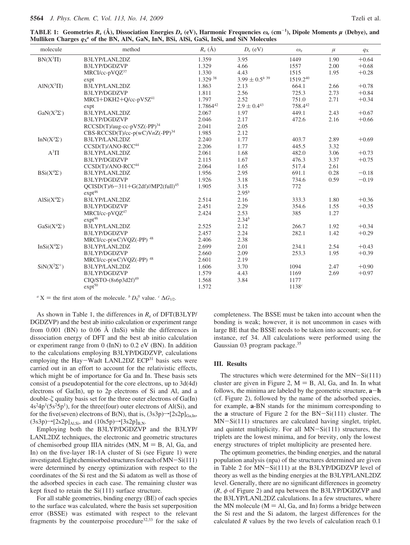**TABLE 1: Geometries** *R***<sup>e</sup> (Å), Dissociation Energies** *D***<sup>e</sup> (eV), Harmonic Frequencies** *ω***<sup>e</sup> (cm**-**<sup>1</sup> ), Dipole Moments** *µ* **(Debye), and Mulliken Charges** *q***<sup>X</sup>** *<sup>a</sup>* **of the BN, AlN, GaN, InN, BSi, AlSi, GaSi, InSi, and SiN Molecules**

| molecule                  | method                                     | $R_{\rm e}$ (Å) | $D_e$ (eV)            | $\omega_{\rm e}$ | $\mu$ | $q_{\rm X}$ |
|---------------------------|--------------------------------------------|-----------------|-----------------------|------------------|-------|-------------|
| $BN(X^3\Pi)$              | B3LYP/LANL2DZ                              | 1.359           | 3.95                  | 1449             | 1.90  | $+0.64$     |
|                           | B3LYP/DGDZVP                               | 1.329           | 4.66                  | 1557             | 2.00  | $+0.68$     |
|                           | MRCI/cc-pVQZ <sup>37</sup>                 | 1.330           | 4.43                  | 1515             | 1.95  | $+0.28$     |
|                           | expt                                       | $1.329^{38}$    | $3.99 \pm 0.5^{b.39}$ | 1519.240         |       |             |
| $AlN(X^3\Pi)$             | B3LYP/LANL2DZ                              | 1.863           | 2.13                  | 664.1            | 2.66  | $+0.78$     |
|                           | B3LYP/DGDZVP                               | 1.811           | 2.56                  | 725.3            | 2.73  | $+0.84$     |
|                           | $MRCI+DKH2+Q/cc-pV5Z41$                    | 1.797           | 2.52                  | 751.0            | 2.71  | $+0.34$     |
|                           | expt                                       | 1.786442        | $2.9 \pm 0.443$       | 758.442          |       |             |
| $\text{GaN}(X^3\Sigma)$   | B3LYP/LANL2DZ                              | 2.067           | 1.97                  | 449.1            | 2.43  | $+0.67$     |
|                           | B3LYP/DGDZVP                               | 2.046           | 2.17                  | 472.6            | 2.16  | $+0.66$     |
|                           | RCCSD(T)/aug-cc-pV5Z(-PP) <sup>34</sup>    | 2.041           | 2.05                  |                  |       |             |
|                           | $CBS-RCCSD(T)/cc-p(wC)VnZ(-PP)^{34}$       | 1.985           | 2.12                  |                  |       |             |
| In $N(X^3\Sigma^-)$       | B3LYP/LANL2DZ                              | 2.240           | 1.77                  | 403.7            | 2.89  | $+0.69$     |
|                           | CCSD(T)/ANO-RCC <sup>44</sup>              | 2.206           | 1.77                  | 445.5            | 3.32  |             |
| $A^3\Pi$                  | B3LYP/LANL2DZ                              | 2.061           | 1.68                  | 482.0            | 3.06  | $+0.73$     |
|                           | B3LYP/DGDZVP                               | 2.115           | 1.67                  | 476.3            | 3.37  | $+0.75$     |
|                           | CCSD(T)/ANO-RCC <sup>44</sup>              | 2.064           | 1.65                  | 517.4            | 2.61  |             |
| $BSi(X^4\Sigma)$          | B3LYP/LANL2DZ                              | 1.956           | 2.95                  | 691.1            | 0.28  | $-0.18$     |
|                           | B3LYP/DGDZVP                               | 1.926           | 3.18                  | 734.6            | 0.59  | $-0.19$     |
|                           | $OCISD(T)/6 - 311 + G(2df)/MP2(full)^{45}$ | 1.905           | 3.15                  | 772              |       |             |
|                           | $expt^{46}$                                |                 | $2.95^{b}$            |                  |       |             |
| $AISi(X^4\Sigma^-)$       | B3LYP/LANL2DZ                              | 2.514           | 2.16                  | 333.3            | 1.80  | $+0.36$     |
|                           | B3LYP/DGDZVP                               | 2.451           | 2.29                  | 354.6            | 1.55  | $+0.35$     |
|                           | $MRCI/cc-pVOZ47$                           | 2.424           | 2.53                  | 385              | 1.27  |             |
|                           | $expt^{46}$                                |                 | $2.34^{b}$            |                  |       |             |
| $GaSi(X^4\Sigma)$         | B3LYP/LANL2DZ                              | 2.525           | 2.12                  | 266.7            | 1.92  | $+0.34$     |
|                           | B3LYP/DGDZVP                               | 2.457           | 2.24                  | 282.1            | 1.42  | $+0.29$     |
|                           | MRCI/cc-p(wC)VQZ(-PP) <sup>48</sup>        | 2.406           | 2.38                  |                  |       |             |
| $InSi(X^4\Sigma^-)$       | B3LYP/LANL2DZ                              | 2.699           | 2.01                  | 234.1            | 2.54  | $+0.43$     |
|                           | B3LYP/DGDZVP                               | 2.660           | 2.09                  | 253.3            | 1.95  | $+0.39$     |
|                           | MRCI/cc-p(wC)VQZ(-PP) <sup>48</sup>        | 2.601           | 2.19                  |                  |       |             |
| $\text{SiN}(X^2\Sigma^+)$ | B3LYP/LANL2DZ                              | 1.606           | 3.70                  | 1094             | 2.47  | $+0.90$     |
|                           | B3LYP/DGDZVP                               | 1.579           | 4.43                  | 1169             | 2.69  | $+0.97$     |
|                           | $CIQ/STO-(8s6p3d2f)^{49}$                  | 1.568           | 3.84                  | 1177             |       |             |
|                           | $expt^{50}$                                | 1.572           |                       | 1138c            |       |             |

 $\alpha$ <sup>*x*</sup>  $X$  = the first atom of the molecule. <sup>*b*</sup> *D*<sub>0</sub><sup>0</sup> value. <sup>*c*</sup>  $\Delta G_{1/2}$ .

As shown in Table 1, the differences in *R*<sup>e</sup> of DFT(B3LYP/ DGDZVP) and the best ab initio calculation or experiment range from 0.001 (BN) to 0.06 Å (InSi) while the differences in dissociation energy of DFT and the best ab initio calculation or experiment range from 0 (InN) to 0.2 eV (BN). In addition to the calculations employing B3LYP/DGDZVP, calculations employing the Hay-Wadt LANL2DZ ECP<sup>31</sup> basis sets were carried out in an effort to account for the relativistic effects, which might be of importance for Ga and In. These basis sets consist of a pseudopotential for the core electrons, up to 3d(4d) electrons of Ga(In), up to 2p electrons of Si and Al, and a double- $\zeta$  quality basis set for the three outer electrons of  $Ga(In)$  $4s<sup>2</sup>4p<sup>1</sup>(5s<sup>2</sup>5p<sup>1</sup>)$ , for the three(four) outer electrons of Al(Si), and for the five(seven) electrons of B(N), that is,  $(3s3p) \rightarrow [2s2p]_{Ga,In}$ ,  $(3s3p)$  $\rightarrow$ [2s2p]<sub>Al,Si</sub>, and  $(10s5p)$  $\rightarrow$ [3s2p]<sub>B,N</sub>.

Employing both the B3LYP/DGDZVP and the B3LYP/ LANL2DZ techniques, the electronic and geometric structures of chemisorbed group IIIA nitrides (MN,  $M = B$ , Al, Ga, and In) on the five-layer 1R-1A cluster of Si (see Figure 1) were investigated. Eight chemisorbed structures for each of  $MN-Si(111)$ were determined by energy optimization with respect to the coordinates of the Si rest and the Si adatom as well as those of the adsorbed species in each case. The remaining cluster was kept fixed to retain the Si(111) surface structure.

For all stable geometries, binding energy (BE) of each species to the surface was calculated, where the basis set superposition error (BSSE) was estimated with respect to the relevant fragments by the counterpoise procedure $32,33$  for the sake of completeness. The BSSE must be taken into account when the bonding is weak; however, it is not uncommon in cases with large BE that the BSSE needs to be taken into account; see, for instance, ref 34. All calculations were performed using the Gaussian 03 program package.<sup>35</sup>

#### **III. Results**

The structures which were determined for the  $MN-Si(111)$ cluster are given in Figure 2,  $M = B$ , Al, Ga, and In. In what follows, the minima are labeled by the geometric structure, **<sup>a</sup>**-**<sup>h</sup>** (cf. Figure 2), followed by the name of the adsorbed species, for example, **a**-BN stands for the minimum corresponding to the **<sup>a</sup>** structure of Figure 2 for the BN-Si(111) cluster. The MN-Si(111) structures are calculated having singlet, triplet, and quintet multiplicity. For all MN-Si(111) structures, the triplets are the lowest minima, and for brevity, only the lowest energy structures of triplet multiplicity are presented here.

The optimum geometries, the binding energies, and the natural population analysis (npa) of the structures determined are given in Table 2 for MN-Si(111) at the B3LYP/DGDZVP level of theory as well as the binding energies at the B3LYP/LANL2DZ level. Generally, there are no significant differences in geometry (*R*, *φ* of Figure 2) and npa between the B3LYP/DGDZVP and the B3LYP/LANL2DZ calculations. In a few structures, where the MN molecule ( $M = A1$ , Ga, and In) forms a bridge between the Si rest and the Si adatom, the largest differences for the calculated *R* values by the two levels of calculation reach 0.1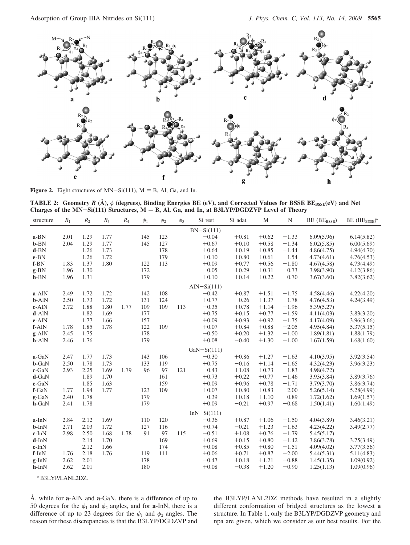

**Figure 2.** Eight structures of  $MN-Si(111)$ ,  $M = B$ , Al, Ga, and In.

| structure     | $R_1$ | $R_2$ | $R_3$ | $R_4$ | $\phi_1$ | $\phi_2$ | $\phi_3$ | Si rest       | Si adat | M       | $\mathbf N$ | BE (BEBSSE) | $BE$ $(BERSSE)a$ |
|---------------|-------|-------|-------|-------|----------|----------|----------|---------------|---------|---------|-------------|-------------|------------------|
| $BN-Si(111)$  |       |       |       |       |          |          |          |               |         |         |             |             |                  |
| a-BN          | 2.01  | 1.29  | 1.77  |       | 145      | 123      |          | $-0.04$       | $+0.81$ | $+0.62$ | $-1.33$     | 6.09(5.96)  | 6.14(5.82)       |
| $b-BN$        | 2.04  | 1.29  | 1.77  |       | 145      | 127      |          | $+0.67$       | $+0.10$ | $+0.58$ | $-1.34$     | 6.02(5.85)  | 6.00(5.69)       |
| $d-BN$        |       | 1.26  | 1.73  |       |          | 178      |          | $+0.64$       | $+0.19$ | $+0.85$ | $-1.44$     | 4.86(4.75)  | 4.94(4.70)       |
| e-BN          |       | 1.26  | 1.72  |       |          | 179      |          | $+0.10$       | $+0.80$ | $+0.61$ | $-1.54$     | 4.73(4.61)  | 4.76(4.53)       |
| $f-BN$        | 1.83  | 1.37  | 1.80  |       | 122      | 113      |          | $+0.09$       | $+0.77$ | $+0.56$ | $-1.80$     | 4.67(4.58)  | 4.73(4.49)       |
| $g$ -BN       | 1.96  | 1.30  |       |       | 172      |          |          | $-0.05$       | $+0.29$ | $+0.31$ | $-0.73$     | 3.98(3.90)  | 4.12(3.86)       |
| $h-BN$        | 1.96  | 1.31  |       |       | 179      |          |          | $+0.10$       | $+0.14$ | $+0.22$ | $-0.70$     | 3.67(3.60)  | 3.82(3.62)       |
| $AlN-Si(111)$ |       |       |       |       |          |          |          |               |         |         |             |             |                  |
| a-AlN         | 2.49  | 1.72  | 1.72  |       | 142      | 108      |          | $-0.42$       | $+0.87$ | $+1.51$ | $-1.75$     | 4.58(4.46)  | 4.22(4.20)       |
| <b>b-AlN</b>  | 2.50  | 1.73  | 1.72  |       | 131      | 124      |          | $+0.77$       | $-0.26$ | $+1.37$ | $-1.78$     | 4.76(4.53)  | 4.24(3.49)       |
| c-AlN         | 2.72  | 1.88  | 1.80  | 1.77  | 109      | 109      | 113      | $-0.35$       | $+0.78$ | $+1.14$ | $-1.96$     | 5.39(5.27)  |                  |
| $d-AlN$       |       | 1.82  | 1.69  |       | 177      |          |          | $+0.75$       | $+0.15$ | $+0.77$ | $-1.59$     | 4.11(4.03)  | 3.83(3.20)       |
| e-AlN         |       | 1.77  | 1.66  |       | 157      |          |          | $+0.09$       | $+0.93$ | $+0.92$ | $-1.75$     | 4.17(4.09)  | 3.96(3.66)       |
| f-AlN         | 1.78  | 1.85  | 1.78  |       | 122      | 109      |          | $+0.07$       | $+0.84$ | $+0.88$ | $-2.05$     | 4.95(4.84)  | 5.37(5.15)       |
| $g-AlN$       | 2.45  | 1.75  |       |       | 178      |          |          | $-0.50$       | $+0.20$ | $+1.32$ | $-1.00$     | 1.89(1.81)  | 1.88(1.79)       |
| h-AlN         | 2.46  | 1.76  |       |       | 179      |          |          | $+0.08$       | $-0.40$ | $+1.30$ | $-1.00$     | 1.67(1.59)  | 1.68(1.60)       |
|               |       |       |       |       |          |          |          | $GaN-Si(111)$ |         |         |             |             |                  |
| a-GaN         | 2.47  | 1.77  | 1.73  |       | 143      | 106      |          | $-0.30$       | $+0.86$ | $+1.27$ | $-1.63$     | 4.10(3.95)  | 3.92(3.54)       |
| b-GaN         | 2.50  | 1.78  | 1.73  |       | 133      | 119      |          | $+0.75$       | $-0.16$ | $+1.14$ | $-1.65$     | 4.32(4.23)  | 3.96(3.23)       |
| c-GaN         | 2.93  | 2.25  | 1.69  | 1.79  | 96       | 97       | 121      | $-0.43$       | $+1.08$ | $+0.73$ | $-1.83$     | 4.98(4.72)  |                  |
| d-GaN         |       | 1.89  | 1.70  |       |          | 161      |          | $+0.73$       | $+0.22$ | $+0.77$ | $-1.46$     | 3.93(3.84)  | 3.89(3.76)       |
| e-GaN         |       | 1.85  | 1.63  |       |          | 159      |          | $+0.09$       | $+0.96$ | $+0.78$ | $-1.71$     | 3.79(3.70)  | 3.86(3.74)       |
| f-GaN         | 1.77  | 1.94  | 1.77  |       | 123      | 109      |          | $+0.07$       | $+0.80$ | $+0.83$ | $-2.00$     | 5.26(5.14)  | 5.28(4.99)       |
| g-GaN         | 2.40  | 1.78  |       |       | 179      |          |          | $-0.39$       | $+0.18$ | $+1.10$ | $-0.89$     | 1.72(1.62)  | 1.69(1.57)       |
| h-GaN         | 2.41  | 1.78  |       |       | 179      |          |          | $+0.09$       | $-0.21$ | $+0.97$ | $-0.68$     | 1.50(1.41)  | 1.60(1.49)       |
|               |       |       |       |       |          |          |          | $InN-Si(111)$ |         |         |             |             |                  |
| $a$ -InN      | 2.84  | 2.12  | 1.69  |       | 110      | 120      |          | $-0.36$       | $+0.87$ | $+1.06$ | $-1.50$     | 4.04(3.89)  | 3.46(3.21)       |
| b-InN         | 2.71  | 2.03  | 1.72  |       | 127      | 116      |          | $+0.74$       | $-0.21$ | $+1.23$ | $-1.63$     | 4.23(4.22)  | 3.49(2.77)       |
| $c$ -In $N$   | 2.98  | 2.50  | 1.68  | 1.78  | 91       | 97       | 115      | $-0.51$       | $+1.08$ | $+0.76$ | $-1.79$     | 5.45(5.17)  |                  |
| $d$ -InN      |       | 2.14  | 1.70  |       |          | 169      |          | $+0.69$       | $+0.15$ | $+0.80$ | $-1.42$     | 3.86(3.78)  | 3.75(3.49)       |
| $e$ -InN      |       | 2.12  | 1.66  |       |          | 174      |          | $+0.08$       | $+0.85$ | $+0.80$ | $-1.51$     | 4.09(4.02)  | 3.77(3.56)       |
| $f-InN$       | 1.76  | 2.18  | 1.76  |       | 119      | 111      |          | $+0.06$       | $+0.71$ | $+0.87$ | $-2.00$     | 5.44(5.31)  | 5.11(4.83)       |
| $g$ -InN      | 2.62  | 2.01  |       |       | 178      |          |          | $-0.47$       | $+0.18$ | $+1.21$ | $-0.88$     | 1.45(1.35)  | 1.09(0.92)       |
| $h$ -In $N$   | 2.62  | 2.01  |       |       | 180      |          |          | $+0.08$       | $-0.38$ | $+1.20$ | $-0.90$     | 1.25(1.13)  | 1.09(0.96)       |
|               |       |       |       |       |          |          |          |               |         |         |             |             |                  |

*<sup>a</sup>* B3LYP/LANL2DZ.

Å, while for **a**-AlN and **a**-GaN, there is a difference of up to 50 degrees for the  $\phi_1$  and  $\phi_2$  angles, and for **a**-InN, there is a difference of up to 23 degrees for the  $\phi_1$  and  $\phi_2$  angles. The reason for these discrepancies is that the B3LYP/DGDZVP and

the B3LYP/LANL2DZ methods have resulted in a slightly different conformation of bridged structures as the lowest **a** structure. In Table 1, only the B3LYP/DGDZVP geometry and npa are given, which we consider as our best results. For the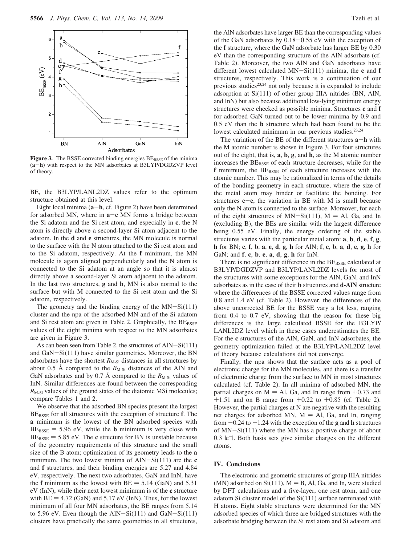

Figure 3. The BSSE corrected binding energies BE<sub>BSSE</sub> of the minima (**a**-**h**) with respect to the MN adsorbates at B3LYP/DGDZVP level of theory.

BE, the B3LYP/LANL2DZ values refer to the optimum structure obtained at this level.

Eight local minima (**a**-**h**, cf. Figure 2) have been determined for adsorbed MN, where in  $a - c$  MN forms a bridge between the Si adatom and the Si rest atom, and especially in **c**, the N atom is directly above a second-layer Si atom adjacent to the adatom. In the **d** and **e** structures, the MN molecule is normal to the surface with the N atom attached to the Si rest atom and to the Si adatom, respectively. At the **f** minimum, the MN molecule is again aligned perpendicularly and the N atom is connected to the Si adatom at an angle so that it is almost directly above a second-layer Si atom adjacent to the adatom. In the last two structures, **g** and **h**, MN is also normal to the surface but with M connected to the Si rest atom and the Si adatom, respectively.

The geometry and the binding energy of the  $MN-Si(111)$ cluster and the npa of the adsorbed MN and of the Si adatom and Si rest atom are given in Table 2. Graphically, the  $BE_{BSSE}$ values of the eight minima with respect to the MN adsorbates are given in Figure 3.

As can been seen from Table 2, the structures of AlN-Si(111) and GaN-Si(111) have similar geometries. Moreover, the BN adsorbates have the shortest  $R_{M-Si}$  distances in all structures by about 0.5 Å compared to the  $R_{M-Si}$  distances of the AlN and GaN adsorbates and by 0.7 Å compared to the  $R_{M-Si}$  values of InN. Similar differences are found between the corresponding  $R_{\text{M-Si}}$  values of the ground states of the diatomic MSi molecules; compare Tables 1 and 2.

We observe that the adsorbed BN species present the largest BE<sub>BSSE</sub> for all structures with the exception of structure **f**. The **a** minimum is the lowest of the BN adsorbed species with  $BE<sub>BSSE</sub> = 5.96$  eV, while the **b** minimum is very close with  $BE<sub>BSSE</sub> = 5.85$  eV. The **c** structure for BN is unstable because of the geometry requirements of this structure and the small size of the B atom; optimization of its geometry leads to the **a** minimum. The two lowest minima of AlN-Si(111) are the **<sup>c</sup>** and **f** structures, and their binding energies are 5.27 and 4.84 eV, respectively. The next two adsorbates, GaN and InN, have the **f** minimum as the lowest with  $BE = 5.14$  (GaN) and 5.31 eV (InN), while their next lowest minimum is of the **c** structure with  $BE = 4.72$  (GaN) and 5.17 eV (InN). Thus, for the lowest minimum of all four MN adsorbates, the BE ranges from 5.14 to 5.96 eV. Even though the  $AlN-Si(111)$  and  $GaN-Si(111)$ clusters have practically the same geometries in all structures, the AlN adsorbates have larger BE than the corresponding values of the GaN adsorbates by 0.18-0.55 eV with the exception of the **f** structure, where the GaN adsorbate has larger BE by 0.30 eV than the corresponding structure of the AlN adsorbate (cf. Table 2). Moreover, the two AlN and GaN adsorbates have different lowest calculated MN-Si(111) minima, the **<sup>c</sup>** and **<sup>f</sup>** structures, respectively. This work is a continuation of our previous studies $2^{3,24}$  not only because it is expanded to include adsorption at Si(111) of other group IIIA nitrides (BN, AlN, and InN) but also because additional low-lying minimum energy structures were checked as possible minima. Structures **c** and **f** for adsorbed GaN turned out to be lower minima by 0.9 and 0.5 eV than the **b** structure which had been found to be the lowest calculated minimum in our previous studies.<sup>23,24</sup>

The variation of the BE of the different structures **<sup>a</sup>**-**<sup>h</sup>** with the M atomic number is shown in Figure 3. For four structures out of the eight, that is, **a**, **b**, **g**, and **h**, as the M atomic number increases the BE<sub>BSSE</sub> of each structure decreases, while for the  $f$  minimum, the  $BE_{BSSE}$  of each structure increases with the atomic number. This may be rationalized in terms of the details of the bonding geometry in each structure, where the size of the metal atom may hinder or facilitate the bonding. For structures  $c-e$ , the variation in BE with M is small because only the N atom is connected to the surface. Moreover, for each of the eight structures of  $MN-Si(111)$ ,  $M = Al$ , Ga, and In (excluding B), the BEs are similar with the largest difference being 0.55 eV. Finally, the energy ordering of the stable structures varies with the particular metal atom: **a**, **b**, **d**, **e**, **f**, **g**, **h** for BN; **c**, **f**, **b**, **a**, **e**, **d**, **g**, **h** for AlN; **f**, **c**, **b**, **a**, **d**, **e**, **g**, **h** for GaN; and **f**, **c**, **b**, **e**, **a**, **d**, **g**, **h** for InN.

There is no significant difference in the  $BE_{BSSE}$  calculated at B3LYP/DGDZVP and B3LYP/LANL2DZ levels for most of the structures with some exceptions for the AlN, GaN, and InN adsorbates as in the case of their **b** structures and **d-AlN** structure where the differences of the BSSE corrected values range from 0.8 and 1.4 eV (cf. Table 2). However, the differences of the above uncorrected BE for the BSSE vary a lot less, ranging from 0.4 to 0.7 eV, showing that the reason for these big differences is the large calculated BSSE for the B3LYP/ LANL2DZ level which in these cases underestimates the BE. For the **c** structures of the AlN, GaN, and InN adsorbates, the geometry optimization failed at the B3LYP/LANL2DZ level of theory because calculations did not converge.

Finally, the npa shows that the surface acts as a pool of electronic charge for the MN molecules, and there is a transfer of electronic charge from the surface to MN in most structures calculated (cf. Table 2). In all minima of adsorbed MN, the partial charges on  $M = Al$ , Ga, and In range from  $+0.73$  and  $+1.51$  and on B range from  $+0.22$  to  $+0.85$  (cf. Table 2). However, the partial charges at N are negative with the resulting net charges for adsorbed MN,  $M = Al$ , Ga, and In, ranging from  $-0.24$  to  $-1.24$  with the exception of the **g** and **h** structures of MN-Si(111) where the MN has a positive charge of about 0.3 le<sup>-</sup>l. Both basis sets give similar charges on the different atoms.

#### **IV. Conclusions**

The electronic and geometric structures of group IIIA nitrides (MN) adsorbed on  $Si(111)$ ,  $M = B$ , Al, Ga, and In, were studied by DFT calculations and a five-layer, one rest atom, and one adatom Si cluster model of the Si(111) surface terminated with H atoms. Eight stable structures were determined for the MN adsorbed species of which three are bridged structures with the adsorbate bridging between the Si rest atom and Si adatom and